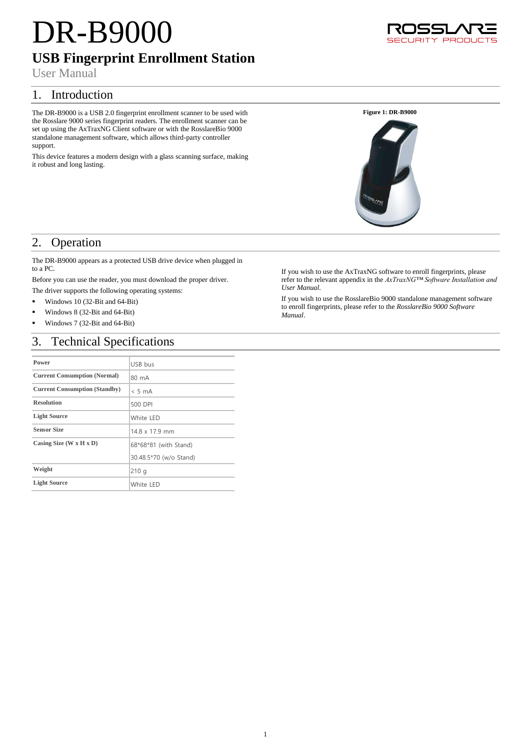# DR-B9000

## **USB Fingerprint Enrollment Station**

User Manual

## 1. Introduction

The DR-B9000 is a USB 2.0 fingerprint enrollment scanner to be used with the Rosslare 9000 series fingerprint readers. The enrollment scanner can be set up using the AxTraxNG Client software or with the RosslareBio 9000 standalone management software, which allows third-party controller support.

This device features a modern design with a glass scanning surface, making it robust and long lasting.





## 2. Operation

The DR-B9000 appears as a protected USB drive device when plugged in to a PC.

Before you can use the reader, you must download the proper driver.

- The driver supports the following operating systems:
- Windows 10 (32-Bit and  $64$ -Bit)
- Windows 8 (32-Bit and 64-Bit)
- Windows 7 (32-Bit and 64-Bit)

## 3. Technical Specifications

| Power                                | USB bus                |
|--------------------------------------|------------------------|
| <b>Current Consumption (Normal)</b>  | 80 mA                  |
| <b>Current Consumption (Standby)</b> | $< 5 \text{ mA}$       |
| <b>Resolution</b>                    | 500 DPI                |
| <b>Light Source</b>                  | White LED              |
| <b>Sensor Size</b>                   | 14.8 x 17.9 mm         |
| Casing Size $(W \times H \times D)$  | 68*68*81 (with Stand)  |
|                                      | 30.48.5*70 (w/o Stand) |
| Weight                               | 210q                   |
| <b>Light Source</b>                  | White LED              |

If you wish to use the AxTraxNG software to enroll fingerprints, please refer to the relevant appendix in the *AxTraxNG™ Software Installation and User Manual*.

If you wish to use the RosslareBio 9000 standalone management software to enroll fingerprints, please refer to the *RosslareBio 9000 Software Manual*.